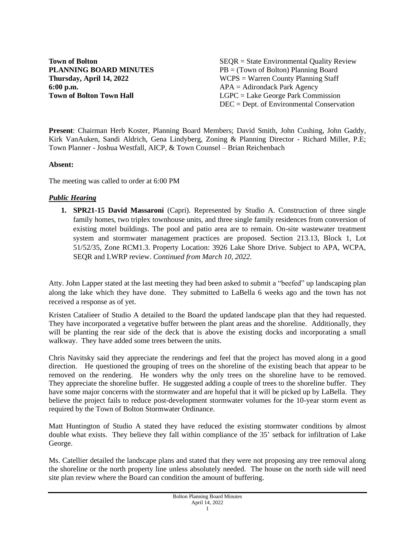**6:00 p.m.**<br> **6:00 p.m.**<br> **Fown of Bolton Town Hall EXECTE 2.50 FORE EXECUTE:** 

**Town of Bolton** SEQR = State Environmental Quality Review **PLANNING BOARD MINUTES** PB = (Town of Bolton) Planning Board **Thursday, April 14, 2022** WCPS = Warren County Planning Staff **LGPC** = Lake George Park Commission DEC = Dept. of Environmental Conservation

**Present**: Chairman Herb Koster, Planning Board Members; David Smith, John Cushing, John Gaddy, Kirk VanAuken, Sandi Aldrich, Gena Lindyberg, Zoning & Planning Director - Richard Miller, P.E; Town Planner - Joshua Westfall, AICP, & Town Counsel – Brian Reichenbach

#### **Absent:**

The meeting was called to order at 6:00 PM

#### *Public Hearing*

**1. SPR21-15 David Massaroni** (Capri). Represented by Studio A. Construction of three single family homes, two triplex townhouse units, and three single family residences from conversion of existing motel buildings. The pool and patio area are to remain. On-site wastewater treatment system and stormwater management practices are proposed. Section 213.13, Block 1, Lot 51/52/35, Zone RCM1.3. Property Location: 3926 Lake Shore Drive. Subject to APA, WCPA, SEQR and LWRP review. *Continued from March 10, 2022.*

Atty. John Lapper stated at the last meeting they had been asked to submit a "beefed" up landscaping plan along the lake which they have done. They submitted to LaBella 6 weeks ago and the town has not received a response as of yet.

Kristen Catalieer of Studio A detailed to the Board the updated landscape plan that they had requested. They have incorporated a vegetative buffer between the plant areas and the shoreline. Additionally, they will be planting the rear side of the deck that is above the existing docks and incorporating a small walkway. They have added some trees between the units.

Chris Navitsky said they appreciate the renderings and feel that the project has moved along in a good direction. He questioned the grouping of trees on the shoreline of the existing beach that appear to be removed on the rendering. He wonders why the only trees on the shoreline have to be removed. They appreciate the shoreline buffer. He suggested adding a couple of trees to the shoreline buffer. They have some major concerns with the stormwater and are hopeful that it will be picked up by LaBella. They believe the project fails to reduce post-development stormwater volumes for the 10-year storm event as required by the Town of Bolton Stormwater Ordinance.

Matt Huntington of Studio A stated they have reduced the existing stormwater conditions by almost double what exists. They believe they fall within compliance of the 35' setback for infiltration of Lake George.

Ms. Catellier detailed the landscape plans and stated that they were not proposing any tree removal along the shoreline or the north property line unless absolutely needed. The house on the north side will need site plan review where the Board can condition the amount of buffering.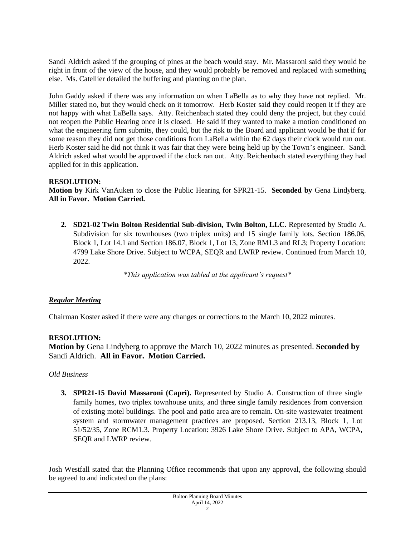Sandi Aldrich asked if the grouping of pines at the beach would stay. Mr. Massaroni said they would be right in front of the view of the house, and they would probably be removed and replaced with something else. Ms. Catellier detailed the buffering and planting on the plan.

John Gaddy asked if there was any information on when LaBella as to why they have not replied. Mr. Miller stated no, but they would check on it tomorrow. Herb Koster said they could reopen it if they are not happy with what LaBella says. Atty. Reichenbach stated they could deny the project, but they could not reopen the Public Hearing once it is closed. He said if they wanted to make a motion conditioned on what the engineering firm submits, they could, but the risk to the Board and applicant would be that if for some reason they did not get those conditions from LaBella within the 62 days their clock would run out. Herb Koster said he did not think it was fair that they were being held up by the Town's engineer. Sandi Aldrich asked what would be approved if the clock ran out. Atty. Reichenbach stated everything they had applied for in this application.

# **RESOLUTION:**

**Motion by** Kirk VanAuken to close the Public Hearing for SPR21-15. **Seconded by** Gena Lindyberg. **All in Favor. Motion Carried.**

**2. SD21-02 Twin Bolton Residential Sub-division, Twin Bolton, LLC.** Represented by Studio A. Subdivision for six townhouses (two triplex units) and 15 single family lots. Section 186.06, Block 1, Lot 14.1 and Section 186.07, Block 1, Lot 13, Zone RM1.3 and RL3; Property Location: 4799 Lake Shore Drive. Subject to WCPA, SEQR and LWRP review. Continued from March 10, 2022.

*\*This application was tabled at the applicant's request\**

# *Regular Meeting*

Chairman Koster asked if there were any changes or corrections to the March 10, 2022 minutes.

# **RESOLUTION:**

**Motion by** Gena Lindyberg to approve the March 10, 2022 minutes as presented. **Seconded by** Sandi Aldrich. **All in Favor. Motion Carried.** 

# *Old Business*

**3. SPR21-15 David Massaroni (Capri).** Represented by Studio A. Construction of three single family homes, two triplex townhouse units, and three single family residences from conversion of existing motel buildings. The pool and patio area are to remain. On-site wastewater treatment system and stormwater management practices are proposed. Section 213.13, Block 1, Lot 51/52/35, Zone RCM1.3. Property Location: 3926 Lake Shore Drive. Subject to APA, WCPA, SEQR and LWRP review.

Josh Westfall stated that the Planning Office recommends that upon any approval, the following should be agreed to and indicated on the plans: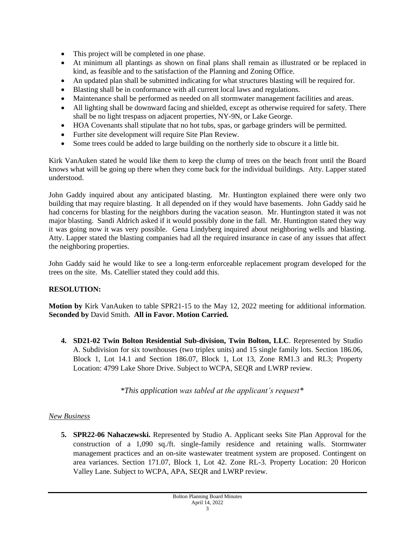- This project will be completed in one phase.
- At minimum all plantings as shown on final plans shall remain as illustrated or be replaced in kind, as feasible and to the satisfaction of the Planning and Zoning Office.
- An updated plan shall be submitted indicating for what structures blasting will be required for.
- Blasting shall be in conformance with all current local laws and regulations.
- Maintenance shall be performed as needed on all stormwater management facilities and areas.
- All lighting shall be downward facing and shielded, except as otherwise required for safety. There shall be no light trespass on adjacent properties, NY-9N, or Lake George.
- HOA Covenants shall stipulate that no hot tubs, spas, or garbage grinders will be permitted.
- Further site development will require Site Plan Review.
- Some trees could be added to large building on the northerly side to obscure it a little bit.

Kirk VanAuken stated he would like them to keep the clump of trees on the beach front until the Board knows what will be going up there when they come back for the individual buildings. Atty. Lapper stated understood.

John Gaddy inquired about any anticipated blasting. Mr. Huntington explained there were only two building that may require blasting. It all depended on if they would have basements. John Gaddy said he had concerns for blasting for the neighbors during the vacation season. Mr. Huntington stated it was not major blasting. Sandi Aldrich asked if it would possibly done in the fall. Mr. Huntington stated they way it was going now it was very possible. Gena Lindyberg inquired about neighboring wells and blasting. Atty. Lapper stated the blasting companies had all the required insurance in case of any issues that affect the neighboring properties.

John Gaddy said he would like to see a long-term enforceable replacement program developed for the trees on the site. Ms. Catellier stated they could add this.

# **RESOLUTION:**

**Motion by** Kirk VanAuken to table SPR21-15 to the May 12, 2022 meeting for additional information. **Seconded by** David Smith. **All in Favor. Motion Carried.** 

**4. SD21-02 Twin Bolton Residential Sub-division, Twin Bolton, LLC**. Represented by Studio A. Subdivision for six townhouses (two triplex units) and 15 single family lots. Section 186.06, Block 1, Lot 14.1 and Section 186.07, Block 1, Lot 13, Zone RM1.3 and RL3; Property Location: 4799 Lake Shore Drive. Subject to WCPA, SEQR and LWRP review.

*\*This application was tabled at the applicant's request\**

#### *New Business*

**5. SPR22-06 Nahaczewski.** Represented by Studio A. Applicant seeks Site Plan Approval for the construction of a 1,090 sq./ft. single-family residence and retaining walls. Stormwater management practices and an on-site wastewater treatment system are proposed. Contingent on area variances. Section 171.07, Block 1, Lot 42. Zone RL-3. Property Location: 20 Horicon Valley Lane. Subject to WCPA, APA, SEQR and LWRP review.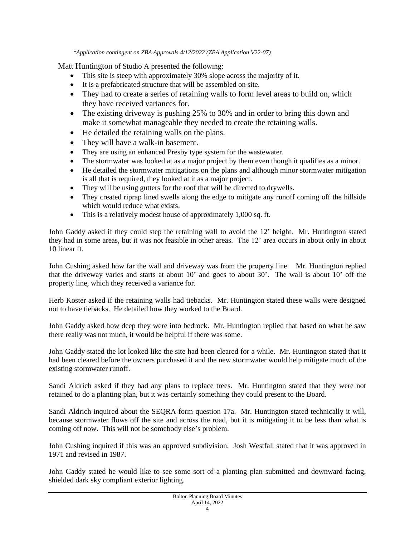*\*Application contingent on ZBA Approvals 4/12/2022 (ZBA Application V22-07)* 

Matt Huntington of Studio A presented the following:

- This site is steep with approximately 30% slope across the majority of it.
- It is a prefabricated structure that will be assembled on site.
- They had to create a series of retaining walls to form level areas to build on, which they have received variances for.
- The existing driveway is pushing 25% to 30% and in order to bring this down and make it somewhat manageable they needed to create the retaining walls.
- He detailed the retaining walls on the plans.
- They will have a walk-in basement.
- They are using an enhanced Presby type system for the wastewater.
- The stormwater was looked at as a major project by them even though it qualifies as a minor.
- He detailed the stormwater mitigations on the plans and although minor stormwater mitigation is all that is required, they looked at it as a major project.
- They will be using gutters for the roof that will be directed to drywells.
- They created riprap lined swells along the edge to mitigate any runoff coming off the hillside which would reduce what exists.
- This is a relatively modest house of approximately 1,000 sq. ft.

John Gaddy asked if they could step the retaining wall to avoid the 12' height. Mr. Huntington stated they had in some areas, but it was not feasible in other areas. The 12' area occurs in about only in about 10 linear ft.

John Cushing asked how far the wall and driveway was from the property line. Mr. Huntington replied that the driveway varies and starts at about 10' and goes to about 30'. The wall is about 10' off the property line, which they received a variance for.

Herb Koster asked if the retaining walls had tiebacks. Mr. Huntington stated these walls were designed not to have tiebacks. He detailed how they worked to the Board.

John Gaddy asked how deep they were into bedrock. Mr. Huntington replied that based on what he saw there really was not much, it would be helpful if there was some.

John Gaddy stated the lot looked like the site had been cleared for a while. Mr. Huntington stated that it had been cleared before the owners purchased it and the new stormwater would help mitigate much of the existing stormwater runoff.

Sandi Aldrich asked if they had any plans to replace trees. Mr. Huntington stated that they were not retained to do a planting plan, but it was certainly something they could present to the Board.

Sandi Aldrich inquired about the SEQRA form question 17a. Mr. Huntington stated technically it will, because stormwater flows off the site and across the road, but it is mitigating it to be less than what is coming off now. This will not be somebody else's problem.

John Cushing inquired if this was an approved subdivision. Josh Westfall stated that it was approved in 1971 and revised in 1987.

John Gaddy stated he would like to see some sort of a planting plan submitted and downward facing, shielded dark sky compliant exterior lighting.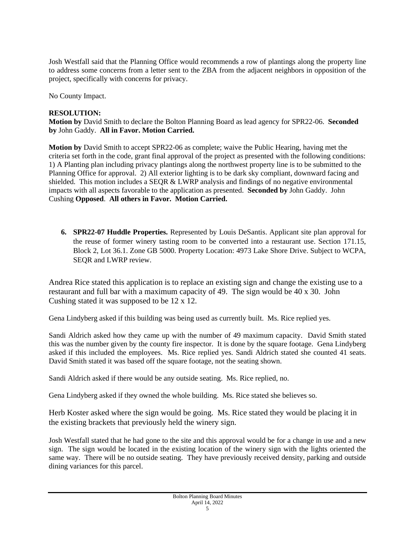Josh Westfall said that the Planning Office would recommends a row of plantings along the property line to address some concerns from a letter sent to the ZBA from the adjacent neighbors in opposition of the project, specifically with concerns for privacy.

No County Impact.

#### **RESOLUTION:**

**Motion by** David Smith to declare the Bolton Planning Board as lead agency for SPR22-06. **Seconded by** John Gaddy. **All in Favor. Motion Carried.** 

**Motion by** David Smith to accept SPR22-06 as complete; waive the Public Hearing, having met the criteria set forth in the code, grant final approval of the project as presented with the following conditions: 1) A Planting plan including privacy plantings along the northwest property line is to be submitted to the Planning Office for approval. 2) All exterior lighting is to be dark sky compliant, downward facing and shielded. This motion includes a SEQR & LWRP analysis and findings of no negative environmental impacts with all aspects favorable to the application as presented. **Seconded by** John Gaddy. John Cushing **Opposed**. **All others in Favor. Motion Carried.** 

**6. SPR22-07 Huddle Properties.** Represented by Louis DeSantis. Applicant site plan approval for the reuse of former winery tasting room to be converted into a restaurant use. Section 171.15, Block 2, Lot 36.1. Zone GB 5000. Property Location: 4973 Lake Shore Drive. Subject to WCPA, SEQR and LWRP review.

Andrea Rice stated this application is to replace an existing sign and change the existing use to a restaurant and full bar with a maximum capacity of 49. The sign would be 40 x 30. John Cushing stated it was supposed to be 12 x 12.

Gena Lindyberg asked if this building was being used as currently built. Ms. Rice replied yes.

Sandi Aldrich asked how they came up with the number of 49 maximum capacity. David Smith stated this was the number given by the county fire inspector. It is done by the square footage. Gena Lindyberg asked if this included the employees. Ms. Rice replied yes. Sandi Aldrich stated she counted 41 seats. David Smith stated it was based off the square footage, not the seating shown.

Sandi Aldrich asked if there would be any outside seating. Ms. Rice replied, no.

Gena Lindyberg asked if they owned the whole building. Ms. Rice stated she believes so.

Herb Koster asked where the sign would be going. Ms. Rice stated they would be placing it in the existing brackets that previously held the winery sign.

Josh Westfall stated that he had gone to the site and this approval would be for a change in use and a new sign. The sign would be located in the existing location of the winery sign with the lights oriented the same way. There will be no outside seating. They have previously received density, parking and outside dining variances for this parcel.